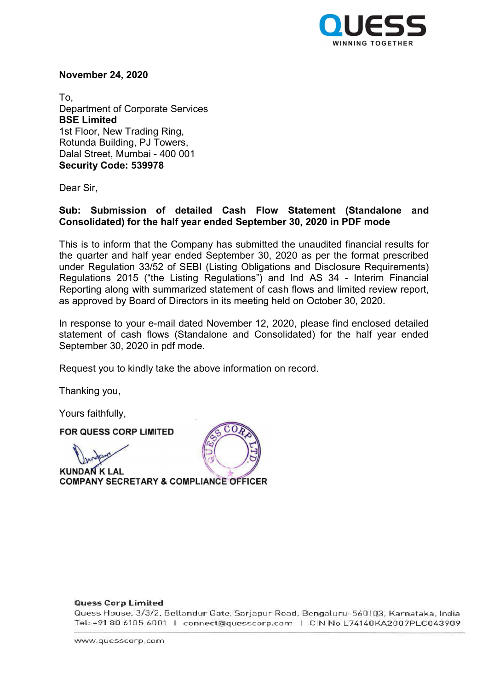

November 24, 2020

To, Department of Corporate Services BSE Limited 1st Floor, New Trading Ring, Rotunda Building, PJ Towers, Dalal Street, Mumbai - 400 001 Security Code: 539978

Dear Sir,

## Sub: Submission of detailed Cash Flow Statement (Standalone and Consolidated) for the half year ended September 30, 2020 in PDF mode

This is to inform that the Company has submitted the unaudited financial results for the quarter and half year ended September 30, 2020 as per the format prescribed under Regulation 33/52 of SEBI (Listing Obligations and Disclosure Requirements) Regulations 2015 ("the Listing Regulations") and Ind AS 34 - Interim Financial Reporting along with summarized statement of cash flows and limited review report, as approved by Board of Directors in its meeting held on October 30, 2020.

In response to your e-mail dated November 12, 2020, please find enclosed detailed statement of cash flows (Standalone and Consolidated) for the half year ended September 30, 2020 in pdf mode.

Request you to kindly take the above information on record.

Thanking you,

Yours faithfully,

FOR QUESS CORP LIMITED

**KUNDAN K LAL** COMPANY SECRETARY & COMPLIANC



## **Quess Corp Limited**

Quess House, 3/3/2, Bellandur Gate, Sarjapur Road, Bengaluru-560103, Karnataka, India Tel: +91 80 6105 6001 | connect@quesscorp.com | CIN No.L74140KA2007PLC043909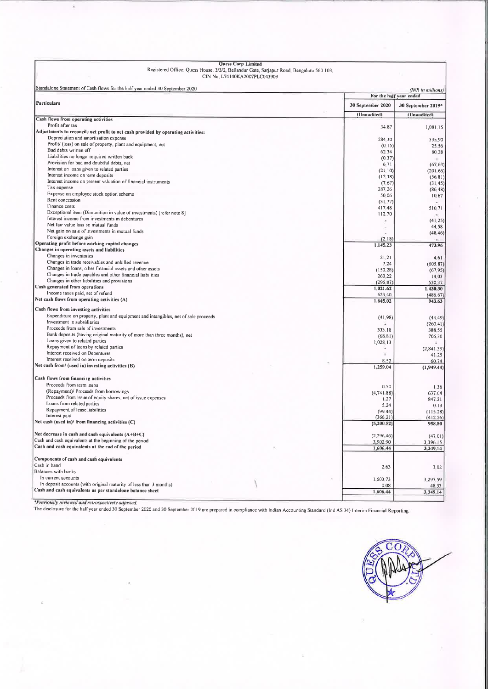| Quess Corp Limited<br>Registered Office: Quess House, 3/3/2, Bellandur Gate, Sarjapur Road, Bengaluru 560 103;<br>CIN No. L74140KA2007PLC043909 |                                              |                    |
|-------------------------------------------------------------------------------------------------------------------------------------------------|----------------------------------------------|--------------------|
| Standalone Statement of Cash flows for the half year ended 30 September 2020                                                                    | (INR in millions)<br>For the half year ended |                    |
| Particulars                                                                                                                                     | 30 September 2020                            | 30 September 2019* |
|                                                                                                                                                 | (Unaudited)                                  | (Unaudited)        |
| Cash flows from operating activities                                                                                                            |                                              |                    |
| Profit after tax                                                                                                                                | 34.87                                        | 1,081.15           |
| Adjustments to reconcile net profit to net cash provided by operating activities:<br>Depreciation and amortisation expense                      |                                              |                    |
| Profit/ (loss) on sale of property, plant and equipment, net                                                                                    | 284 30                                       | 335.90             |
| Bad debts written off                                                                                                                           | (0.15)<br>62.34                              | 25.56<br>80 28     |
| Liabilities no longer required written back                                                                                                     | (0.37)                                       | $\sim$             |
| Provision for bad and doubtful debts, net                                                                                                       | 6.71                                         | (6763)             |
| Interest on loans given to related parties                                                                                                      | (2110)                                       | (20166)            |
| Interest income on term deposits                                                                                                                | (12.38)                                      | (56, 81)           |
| Interest income on present valuation of financial instruments<br>Tax expense                                                                    | (7, 67)                                      | (31.45)            |
| Expense on employee stock option scheme                                                                                                         | 287 26                                       | (86, 48)           |
| Rent concession                                                                                                                                 | 50 06<br>(31.77)                             | 10,67              |
| Finance costs                                                                                                                                   | 41748                                        | 510.71             |
| Exceptional item (Dimunition in value of investments) [refer note 8]                                                                            | 112.70                                       |                    |
| Interest income from investments in debentures                                                                                                  | ×                                            | (41, 25)           |
| Net fair value loss on mutual funds                                                                                                             | ٠                                            | 44.58              |
| Net gain on sale of investments in mutual funds<br>Foreign exchange gain                                                                        |                                              | (48, 46)           |
| Operating profit before working capital changes                                                                                                 | (2.18)                                       |                    |
| Changes in operating assets and liabilities                                                                                                     | 1,145.23                                     | 473,96             |
| Changes in inventories                                                                                                                          | 21.21                                        | 4.61               |
| Changes in trade receivables and unbilled revenue                                                                                               | 7.24                                         | (605, 87)          |
| Changes in loans, other financial assets and other assets                                                                                       | (150, 28)                                    | (67, 95)           |
| Changes in trade payables and other financial liabilities                                                                                       | 260 22                                       | 14.03              |
| Changes in other liabilities and provisions<br>Cash generated from operations                                                                   | (296.87)                                     | 530.37             |
| Income taxes paid, net of refund                                                                                                                | 1,021.62                                     | 1,430.30           |
| Net cash flows from operating activities (A)                                                                                                    | 623.40<br>1,645.02                           | (486.67)<br>943.63 |
|                                                                                                                                                 |                                              |                    |
| Cash flows from investing activities<br>Expenditure on property, plant and equipment and intangibles, net of sale proceeds                      |                                              |                    |
| Investment in subsidiaries                                                                                                                      | (41.98)                                      | (44.49)            |
| Proceeds from sale of investments                                                                                                               | 333.18                                       | (260.41)<br>388.55 |
| Bank deposits (having original maturity of more than three months), net                                                                         | (68.81)                                      | 706 30             |
| Loans given to related parties                                                                                                                  | 1,028.13                                     |                    |
| Repayment of loans by related parties                                                                                                           | ×.                                           | (2, 841, 39)       |
| Interest received on Debentures                                                                                                                 |                                              | 41.25              |
| Interest received on term deposits<br>Net cash from/ (used in) investing activities (B)                                                         | 8.52                                         | 60.74              |
|                                                                                                                                                 | 1,259.04                                     | (1,949.44)         |
| Cash flows from financing activities                                                                                                            |                                              |                    |
| Proceeds from term loans                                                                                                                        | 0.50                                         | 1,36               |
| (Repayment)/ Proceeds from borrowings                                                                                                           | (4, 741, 88)                                 | 637.64             |
| Proceeds from issue of equity shares, net of issue expenses                                                                                     | 1.27                                         | 847.21             |
| Loans from related parties<br>Repayment of lease liabilities                                                                                    | 5.24                                         | 0.13               |
| Interest paid                                                                                                                                   | (99.44)<br>(366.21)                          | (115, 28)          |
| Net cash (used in)/ from financing activities (C)                                                                                               | (5, 200.52)                                  | (412.26)<br>958,80 |
|                                                                                                                                                 |                                              |                    |
| Net decrease in cash and cash equivalents $(A+B+C)$                                                                                             | (2, 296, 46)                                 | (4701)             |
| Cash and cash equivalents at the beginning of the period                                                                                        | 3,902.90                                     | 3,396.15           |
| Cash and cash equivalents at the end of the period                                                                                              | 1,606.44                                     | 3,349.14           |
| Components of cash and cash equivalents                                                                                                         |                                              |                    |
| Cash in hand                                                                                                                                    | 2.63                                         | 3.02               |
| Balances with banks                                                                                                                             |                                              |                    |
| In current accounts                                                                                                                             | 1,603.73                                     | 3,297.59           |
| In deposit accounts (with original maturity of less than 3 months)<br>Cash and cash equivalents as per standalone balance sheet                 | 0.08                                         | 48 53              |
|                                                                                                                                                 | 1,606.44                                     | 3,349.14           |

Quess Corp Limit

\*Previously reviewed and retrospectively adjusted

The disclosure for the half year ended <sup>30</sup> September <sup>2020</sup> and <sup>30</sup> September <sup>2019</sup> are prepare<sup>d</sup> in compliance with Indian Accounting Standard (Ind AS 34) Interim Financial Reporting